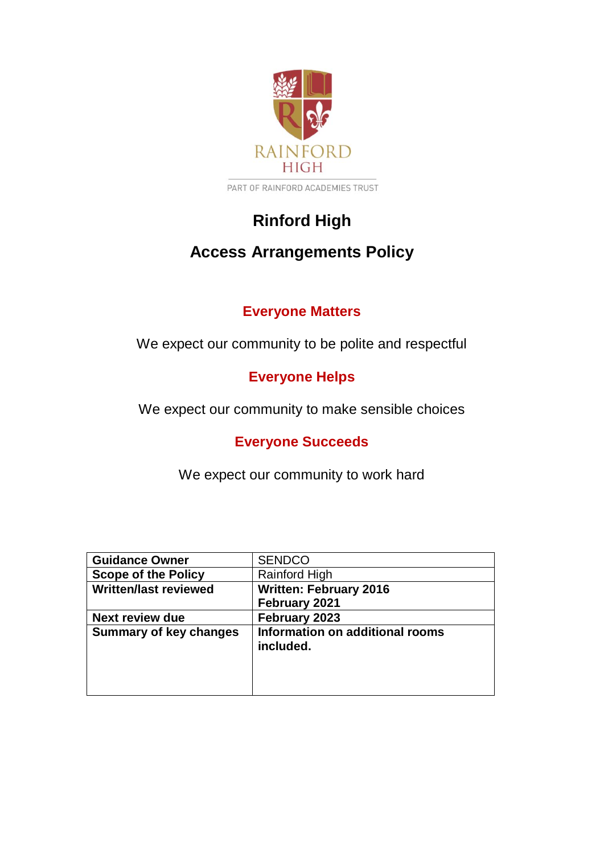

PART OF RAINFORD ACADEMIES TRUST

# **Rinford High**

## **Access Arrangements Policy**

## **Everyone Matters**

We expect our community to be polite and respectful

## **Everyone Helps**

We expect our community to make sensible choices

## **Everyone Succeeds**

We expect our community to work hard

| <b>Guidance Owner</b>         | <b>SENDCO</b>                   |
|-------------------------------|---------------------------------|
| <b>Scope of the Policy</b>    | Rainford High                   |
| <b>Written/last reviewed</b>  | <b>Written: February 2016</b>   |
|                               | February 2021                   |
| <b>Next review due</b>        | February 2023                   |
| <b>Summary of key changes</b> | Information on additional rooms |
|                               | included.                       |
|                               |                                 |
|                               |                                 |
|                               |                                 |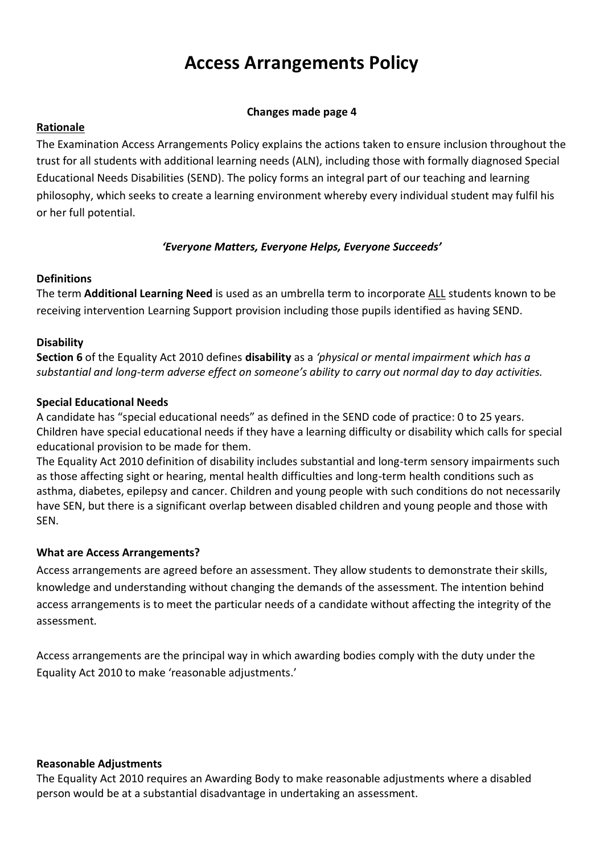# **Access Arrangements Policy**

#### **Changes made page 4**

#### **Rationale**

The Examination Access Arrangements Policy explains the actions taken to ensure inclusion throughout the trust for all students with additional learning needs (ALN), including those with formally diagnosed Special Educational Needs Disabilities (SEND). The policy forms an integral part of our teaching and learning philosophy, which seeks to create a learning environment whereby every individual student may fulfil his or her full potential.

#### *'Everyone Matters, Everyone Helps, Everyone Succeeds'*

#### **Definitions**

The term **Additional Learning Need** is used as an umbrella term to incorporate ALL students known to be receiving intervention Learning Support provision including those pupils identified as having SEND.

## **Disability**

**Section 6** of the Equality Act 2010 defines **disability** as a *'physical or mental impairment which has a substantial and long-term adverse effect on someone's ability to carry out normal day to day activities.*

## **Special Educational Needs**

A candidate has "special educational needs" as defined in the SEND code of practice: 0 to 25 years. Children have special educational needs if they have a learning difficulty or disability which calls for special educational provision to be made for them.

The Equality Act 2010 definition of disability includes substantial and long-term sensory impairments such as those affecting sight or hearing, mental health difficulties and long-term health conditions such as asthma, diabetes, epilepsy and cancer. Children and young people with such conditions do not necessarily have SEN, but there is a significant overlap between disabled children and young people and those with SEN.

#### **What are Access Arrangements?**

Access arrangements are agreed before an assessment. They allow students to demonstrate their skills, knowledge and understanding without changing the demands of the assessment. The intention behind access arrangements is to meet the particular needs of a candidate without affecting the integrity of the assessment.

Access arrangements are the principal way in which awarding bodies comply with the duty under the Equality Act 2010 to make 'reasonable adjustments.'

#### **Reasonable Adjustments**

The Equality Act 2010 requires an Awarding Body to make reasonable adjustments where a disabled person would be at a substantial disadvantage in undertaking an assessment.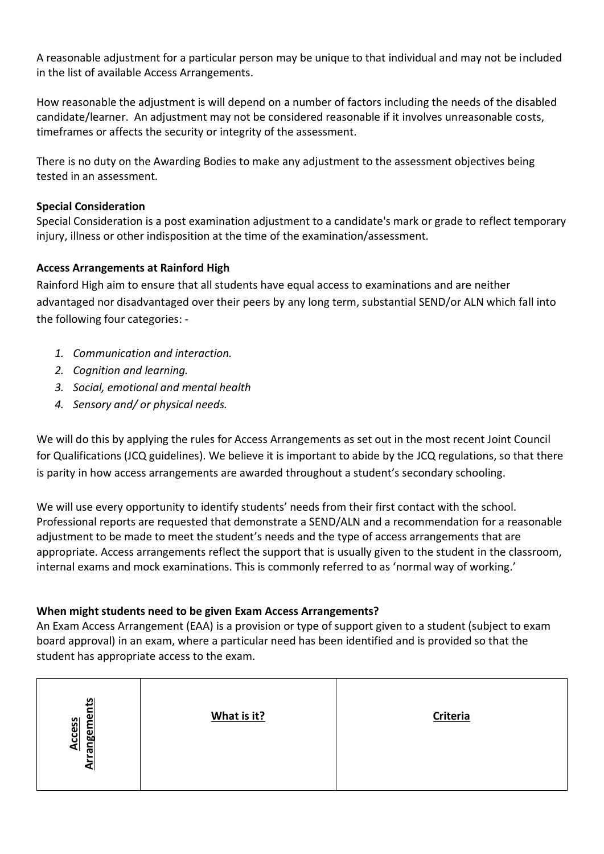A reasonable adjustment for a particular person may be unique to that individual and may not be included in the list of available Access Arrangements.

How reasonable the adjustment is will depend on a number of factors including the needs of the disabled candidate/learner. An adjustment may not be considered reasonable if it involves unreasonable costs, timeframes or affects the security or integrity of the assessment.

There is no duty on the Awarding Bodies to make any adjustment to the assessment objectives being tested in an assessment.

## **Special Consideration**

Special Consideration is a post examination adjustment to a candidate's mark or grade to reflect temporary injury, illness or other indisposition at the time of the examination/assessment.

## **Access Arrangements at Rainford High**

Rainford High aim to ensure that all students have equal access to examinations and are neither advantaged nor disadvantaged over their peers by any long term, substantial SEND/or ALN which fall into the following four categories: -

- *1. Communication and interaction.*
- *2. Cognition and learning.*
- *3. Social, emotional and mental health*
- *4. Sensory and/ or physical needs.*

We will do this by applying the rules for Access Arrangements as set out in the most recent Joint Council for Qualifications (JCQ guidelines). We believe it is important to abide by the JCQ regulations, so that there is parity in how access arrangements are awarded throughout a student's secondary schooling.

We will use every opportunity to identify students' needs from their first contact with the school. Professional reports are requested that demonstrate a SEND/ALN and a recommendation for a reasonable adjustment to be made to meet the student's needs and the type of access arrangements that are appropriate. Access arrangements reflect the support that is usually given to the student in the classroom, internal exams and mock examinations. This is commonly referred to as 'normal way of working.'

## **When might students need to be given Exam Access Arrangements?**

An Exam Access Arrangement (EAA) is a provision or type of support given to a student (subject to exam board approval) in an exam, where a particular need has been identified and is provided so that the student has appropriate access to the exam.

| angements<br><b>Access</b> | What is it? | Criteria |
|----------------------------|-------------|----------|
| ⋖                          |             |          |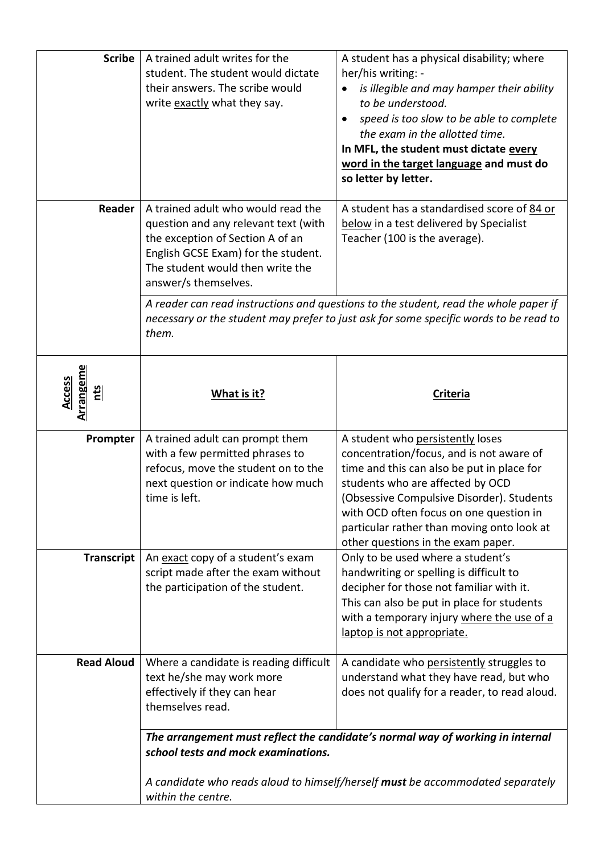| <b>Scribe</b>                     | A trained adult writes for the<br>student. The student would dictate<br>their answers. The scribe would<br>write exactly what they say.                                                                           | A student has a physical disability; where<br>her/his writing: -<br>is illegible and may hamper their ability<br>$\bullet$<br>to be understood.<br>speed is too slow to be able to complete<br>the exam in the allotted time.<br>In MFL, the student must dictate every<br>word in the target language and must do<br>so letter by letter. |
|-----------------------------------|-------------------------------------------------------------------------------------------------------------------------------------------------------------------------------------------------------------------|--------------------------------------------------------------------------------------------------------------------------------------------------------------------------------------------------------------------------------------------------------------------------------------------------------------------------------------------|
| Reader                            | A trained adult who would read the<br>question and any relevant text (with<br>the exception of Section A of an<br>English GCSE Exam) for the student.<br>The student would then write the<br>answer/s themselves. | A student has a standardised score of 84 or<br>below in a test delivered by Specialist<br>Teacher (100 is the average).                                                                                                                                                                                                                    |
|                                   | them.                                                                                                                                                                                                             | A reader can read instructions and questions to the student, read the whole paper if<br>necessary or the student may prefer to just ask for some specific words to be read to                                                                                                                                                              |
| Arrangeme<br><b>Access</b><br>nts | What is it?                                                                                                                                                                                                       | <b>Criteria</b>                                                                                                                                                                                                                                                                                                                            |
| Prompter                          | A trained adult can prompt them<br>with a few permitted phrases to<br>refocus, move the student on to the<br>next question or indicate how much<br>time is left.                                                  | A student who persistently loses<br>concentration/focus, and is not aware of<br>time and this can also be put in place for<br>students who are affected by OCD<br>(Obsessive Compulsive Disorder). Students<br>with OCD often focus on one question in<br>particular rather than moving onto look at<br>other questions in the exam paper. |
| <b>Transcript</b>                 | An exact copy of a student's exam<br>script made after the exam without<br>the participation of the student.                                                                                                      | Only to be used where a student's<br>handwriting or spelling is difficult to<br>decipher for those not familiar with it.<br>This can also be put in place for students<br>with a temporary injury where the use of a<br>laptop is not appropriate.                                                                                         |
| <b>Read Aloud</b>                 | Where a candidate is reading difficult<br>text he/she may work more<br>effectively if they can hear<br>themselves read.                                                                                           | A candidate who persistently struggles to<br>understand what they have read, but who<br>does not qualify for a reader, to read aloud.                                                                                                                                                                                                      |
|                                   | school tests and mock examinations.<br>within the centre.                                                                                                                                                         | The arrangement must reflect the candidate's normal way of working in internal<br>A candidate who reads aloud to himself/herself must be accommodated separately                                                                                                                                                                           |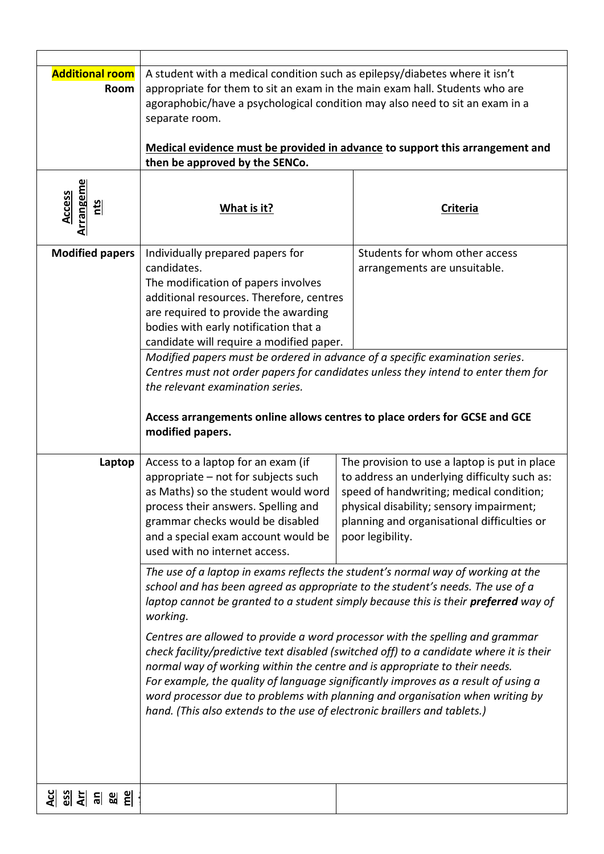| <b>Additional room</b><br>Room           | A student with a medical condition such as epilepsy/diabetes where it isn't<br>appropriate for them to sit an exam in the main exam hall. Students who are<br>agoraphobic/have a psychological condition may also need to sit an exam in a<br>separate room.                                                                                                                                                                                                                          |                                                                                                                                                                                                                                                                                                                                                                                                                                                                                                                            |
|------------------------------------------|---------------------------------------------------------------------------------------------------------------------------------------------------------------------------------------------------------------------------------------------------------------------------------------------------------------------------------------------------------------------------------------------------------------------------------------------------------------------------------------|----------------------------------------------------------------------------------------------------------------------------------------------------------------------------------------------------------------------------------------------------------------------------------------------------------------------------------------------------------------------------------------------------------------------------------------------------------------------------------------------------------------------------|
|                                          | then be approved by the SENCo.                                                                                                                                                                                                                                                                                                                                                                                                                                                        | Medical evidence must be provided in advance to support this arrangement and                                                                                                                                                                                                                                                                                                                                                                                                                                               |
| <b>Arrangeme</b><br><b>Access</b><br>nts | What is it?                                                                                                                                                                                                                                                                                                                                                                                                                                                                           | <b>Criteria</b>                                                                                                                                                                                                                                                                                                                                                                                                                                                                                                            |
| <b>Modified papers</b>                   | Individually prepared papers for<br>candidates.<br>The modification of papers involves<br>additional resources. Therefore, centres<br>are required to provide the awarding<br>bodies with early notification that a<br>candidate will require a modified paper.<br>Modified papers must be ordered in advance of a specific examination series.<br>the relevant examination series.<br>Access arrangements online allows centres to place orders for GCSE and GCE<br>modified papers. | Students for whom other access<br>arrangements are unsuitable.<br>Centres must not order papers for candidates unless they intend to enter them for                                                                                                                                                                                                                                                                                                                                                                        |
| Laptop                                   | Access to a laptop for an exam (if<br>appropriate - not for subjects such<br>as Maths) so the student would word<br>process their answers. Spelling and<br>grammar checks would be disabled<br>and a special exam account would be<br>used with no internet access.                                                                                                                                                                                                                   | The provision to use a laptop is put in place<br>to address an underlying difficulty such as:<br>speed of handwriting; medical condition;<br>physical disability; sensory impairment;<br>planning and organisational difficulties or<br>poor legibility.                                                                                                                                                                                                                                                                   |
|                                          | school and has been agreed as appropriate to the student's needs. The use of a<br>working.<br>normal way of working within the centre and is appropriate to their needs.<br>hand. (This also extends to the use of electronic braillers and tablets.)                                                                                                                                                                                                                                 | The use of a laptop in exams reflects the student's normal way of working at the<br>laptop cannot be granted to a student simply because this is their preferred way of<br>Centres are allowed to provide a word processor with the spelling and grammar<br>check facility/predictive text disabled (switched off) to a candidate where it is their<br>For example, the quality of language significantly improves as a result of using a<br>word processor due to problems with planning and organisation when writing by |
| <u> 의 이 게 이 게 되</u>                      |                                                                                                                                                                                                                                                                                                                                                                                                                                                                                       |                                                                                                                                                                                                                                                                                                                                                                                                                                                                                                                            |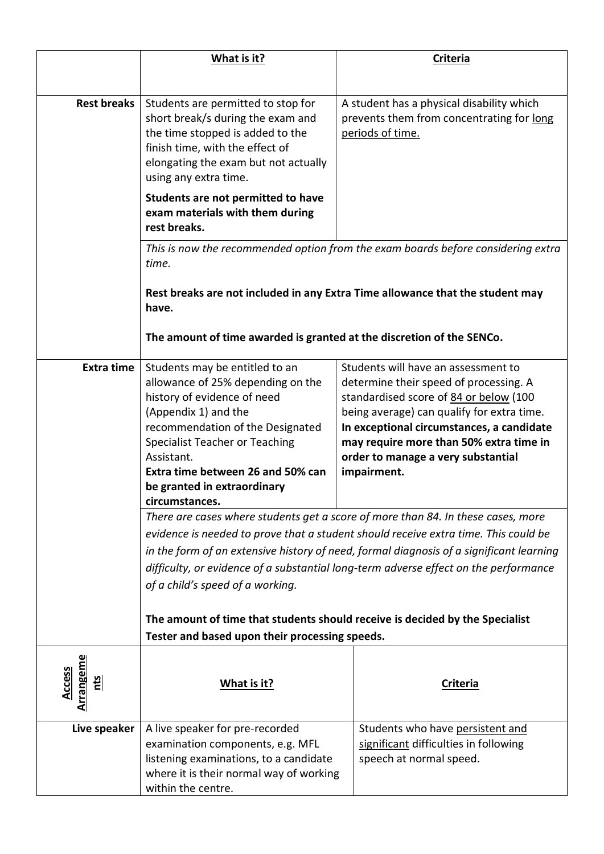|                                               | What is it?                                                                                                                                                                                                                                                                                                 | <b>Criteria</b>                                                                                                                                                                                                                                                                                                                                                                                                                                                                                                                                                                          |
|-----------------------------------------------|-------------------------------------------------------------------------------------------------------------------------------------------------------------------------------------------------------------------------------------------------------------------------------------------------------------|------------------------------------------------------------------------------------------------------------------------------------------------------------------------------------------------------------------------------------------------------------------------------------------------------------------------------------------------------------------------------------------------------------------------------------------------------------------------------------------------------------------------------------------------------------------------------------------|
|                                               |                                                                                                                                                                                                                                                                                                             |                                                                                                                                                                                                                                                                                                                                                                                                                                                                                                                                                                                          |
| <b>Rest breaks</b>                            | Students are permitted to stop for<br>short break/s during the exam and<br>the time stopped is added to the<br>finish time, with the effect of<br>elongating the exam but not actually<br>using any extra time.                                                                                             | A student has a physical disability which<br>prevents them from concentrating for long<br>periods of time.                                                                                                                                                                                                                                                                                                                                                                                                                                                                               |
|                                               | Students are not permitted to have<br>exam materials with them during<br>rest breaks.                                                                                                                                                                                                                       |                                                                                                                                                                                                                                                                                                                                                                                                                                                                                                                                                                                          |
|                                               | time.                                                                                                                                                                                                                                                                                                       | This is now the recommended option from the exam boards before considering extra                                                                                                                                                                                                                                                                                                                                                                                                                                                                                                         |
|                                               | have.                                                                                                                                                                                                                                                                                                       | Rest breaks are not included in any Extra Time allowance that the student may                                                                                                                                                                                                                                                                                                                                                                                                                                                                                                            |
|                                               | The amount of time awarded is granted at the discretion of the SENCo.                                                                                                                                                                                                                                       |                                                                                                                                                                                                                                                                                                                                                                                                                                                                                                                                                                                          |
| <b>Extra time</b>                             | Students may be entitled to an<br>allowance of 25% depending on the<br>history of evidence of need<br>(Appendix 1) and the<br>recommendation of the Designated<br><b>Specialist Teacher or Teaching</b><br>Assistant.<br>Extra time between 26 and 50% can<br>be granted in extraordinary<br>circumstances. | Students will have an assessment to<br>determine their speed of processing. A<br>standardised score of 84 or below (100<br>being average) can qualify for extra time.<br>In exceptional circumstances, a candidate<br>may require more than 50% extra time in<br>order to manage a very substantial<br>impairment.<br>There are cases where students get a score of more than 84. In these cases, more<br>evidence is needed to prove that a student should receive extra time. This could be<br>in the form of an extensive history of need, formal diagnosis of a significant learning |
|                                               | of a child's speed of a working.                                                                                                                                                                                                                                                                            | difficulty, or evidence of a substantial long-term adverse effect on the performance                                                                                                                                                                                                                                                                                                                                                                                                                                                                                                     |
|                                               |                                                                                                                                                                                                                                                                                                             | The amount of time that students should receive is decided by the Specialist                                                                                                                                                                                                                                                                                                                                                                                                                                                                                                             |
|                                               | Tester and based upon their processing speeds.                                                                                                                                                                                                                                                              |                                                                                                                                                                                                                                                                                                                                                                                                                                                                                                                                                                                          |
| <b>Arrangeme</b><br>Access<br>$\frac{21}{21}$ | What is it?                                                                                                                                                                                                                                                                                                 | <b>Criteria</b>                                                                                                                                                                                                                                                                                                                                                                                                                                                                                                                                                                          |
| Live speaker                                  | A live speaker for pre-recorded<br>examination components, e.g. MFL<br>listening examinations, to a candidate<br>where it is their normal way of working<br>within the centre.                                                                                                                              | Students who have persistent and<br>significant difficulties in following<br>speech at normal speed.                                                                                                                                                                                                                                                                                                                                                                                                                                                                                     |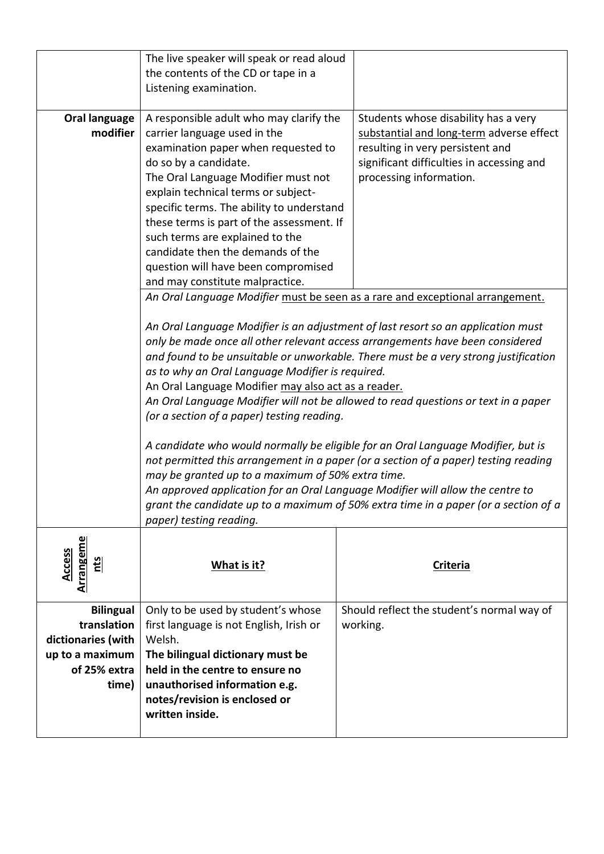|                                   | The live speaker will speak or read aloud                               |                                                                                     |
|-----------------------------------|-------------------------------------------------------------------------|-------------------------------------------------------------------------------------|
|                                   | the contents of the CD or tape in a                                     |                                                                                     |
|                                   | Listening examination.                                                  |                                                                                     |
|                                   |                                                                         |                                                                                     |
| Oral language<br>modifier         | A responsible adult who may clarify the<br>carrier language used in the | Students whose disability has a very<br>substantial and long-term adverse effect    |
|                                   | examination paper when requested to                                     | resulting in very persistent and                                                    |
|                                   | do so by a candidate.                                                   | significant difficulties in accessing and                                           |
|                                   | The Oral Language Modifier must not                                     | processing information.                                                             |
|                                   | explain technical terms or subject-                                     |                                                                                     |
|                                   | specific terms. The ability to understand                               |                                                                                     |
|                                   | these terms is part of the assessment. If                               |                                                                                     |
|                                   | such terms are explained to the                                         |                                                                                     |
|                                   | candidate then the demands of the                                       |                                                                                     |
|                                   | question will have been compromised                                     |                                                                                     |
|                                   | and may constitute malpractice.                                         |                                                                                     |
|                                   |                                                                         | An Oral Language Modifier must be seen as a rare and exceptional arrangement.       |
|                                   |                                                                         |                                                                                     |
|                                   |                                                                         | An Oral Language Modifier is an adjustment of last resort so an application must    |
|                                   |                                                                         | only be made once all other relevant access arrangements have been considered       |
|                                   |                                                                         | and found to be unsuitable or unworkable. There must be a very strong justification |
|                                   | as to why an Oral Language Modifier is required.                        |                                                                                     |
|                                   | An Oral Language Modifier may also act as a reader.                     |                                                                                     |
|                                   |                                                                         | An Oral Language Modifier will not be allowed to read questions or text in a paper  |
|                                   | (or a section of a paper) testing reading.                              |                                                                                     |
|                                   |                                                                         | A candidate who would normally be eligible for an Oral Language Modifier, but is    |
|                                   |                                                                         | not permitted this arrangement in a paper (or a section of a paper) testing reading |
|                                   | may be granted up to a maximum of 50% extra time.                       |                                                                                     |
|                                   |                                                                         | An approved application for an Oral Language Modifier will allow the centre to      |
|                                   |                                                                         | grant the candidate up to a maximum of 50% extra time in a paper (or a section of a |
|                                   | paper) testing reading.                                                 |                                                                                     |
|                                   |                                                                         |                                                                                     |
| <b>Arrangeme</b><br><b>Access</b> |                                                                         |                                                                                     |
| cts                               | What is it?                                                             | <b>Criteria</b>                                                                     |
|                                   |                                                                         |                                                                                     |
| <b>Bilingual</b>                  | Only to be used by student's whose                                      | Should reflect the student's normal way of                                          |
| translation                       | first language is not English, Irish or                                 | working.                                                                            |
| dictionaries (with                | Welsh.                                                                  |                                                                                     |
| up to a maximum                   | The bilingual dictionary must be                                        |                                                                                     |
| of 25% extra                      | held in the centre to ensure no                                         |                                                                                     |
| time)                             | unauthorised information e.g.                                           |                                                                                     |
|                                   | notes/revision is enclosed or                                           |                                                                                     |
|                                   | written inside.                                                         |                                                                                     |
|                                   |                                                                         |                                                                                     |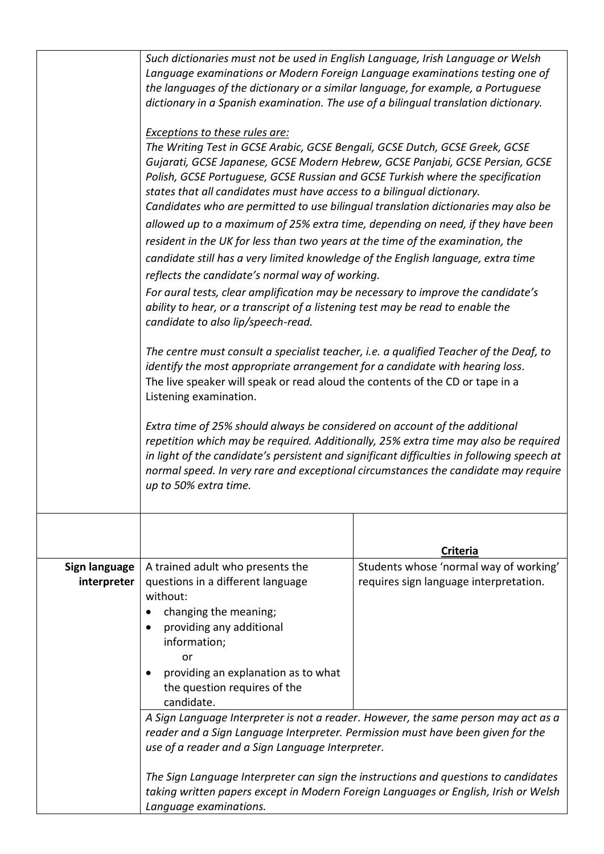|                              | Such dictionaries must not be used in English Language, Irish Language or Welsh<br>Language examinations or Modern Foreign Language examinations testing one of<br>the languages of the dictionary or a similar language, for example, a Portuguese<br>dictionary in a Spanish examination. The use of a bilingual translation dictionary.                                                                                                                                                                                                                                                                                                                                                                                                                                                                                                                                                                                                                                                                                                                                |                                                                                                                                                                            |
|------------------------------|---------------------------------------------------------------------------------------------------------------------------------------------------------------------------------------------------------------------------------------------------------------------------------------------------------------------------------------------------------------------------------------------------------------------------------------------------------------------------------------------------------------------------------------------------------------------------------------------------------------------------------------------------------------------------------------------------------------------------------------------------------------------------------------------------------------------------------------------------------------------------------------------------------------------------------------------------------------------------------------------------------------------------------------------------------------------------|----------------------------------------------------------------------------------------------------------------------------------------------------------------------------|
|                              | <b>Exceptions to these rules are:</b><br>The Writing Test in GCSE Arabic, GCSE Bengali, GCSE Dutch, GCSE Greek, GCSE<br>Gujarati, GCSE Japanese, GCSE Modern Hebrew, GCSE Panjabi, GCSE Persian, GCSE<br>Polish, GCSE Portuguese, GCSE Russian and GCSE Turkish where the specification<br>states that all candidates must have access to a bilingual dictionary.<br>Candidates who are permitted to use bilingual translation dictionaries may also be<br>allowed up to a maximum of 25% extra time, depending on need, if they have been<br>resident in the UK for less than two years at the time of the examination, the<br>candidate still has a very limited knowledge of the English language, extra time<br>reflects the candidate's normal way of working.<br>For aural tests, clear amplification may be necessary to improve the candidate's<br>ability to hear, or a transcript of a listening test may be read to enable the<br>candidate to also lip/speech-read.<br>The centre must consult a specialist teacher, i.e. a qualified Teacher of the Deaf, to |                                                                                                                                                                            |
|                              | identify the most appropriate arrangement for a candidate with hearing loss.<br>The live speaker will speak or read aloud the contents of the CD or tape in a<br>Listening examination.                                                                                                                                                                                                                                                                                                                                                                                                                                                                                                                                                                                                                                                                                                                                                                                                                                                                                   |                                                                                                                                                                            |
|                              | Extra time of 25% should always be considered on account of the additional<br>repetition which may be required. Additionally, 25% extra time may also be required<br>in light of the candidate's persistent and significant difficulties in following speech at<br>normal speed. In very rare and exceptional circumstances the candidate may require<br>up to 50% extra time.                                                                                                                                                                                                                                                                                                                                                                                                                                                                                                                                                                                                                                                                                            |                                                                                                                                                                            |
|                              |                                                                                                                                                                                                                                                                                                                                                                                                                                                                                                                                                                                                                                                                                                                                                                                                                                                                                                                                                                                                                                                                           | <b>Criteria</b>                                                                                                                                                            |
| Sign language<br>interpreter | A trained adult who presents the<br>questions in a different language<br>without:<br>changing the meaning;<br>providing any additional<br>information;<br>or<br>providing an explanation as to what<br>the question requires of the<br>candidate.                                                                                                                                                                                                                                                                                                                                                                                                                                                                                                                                                                                                                                                                                                                                                                                                                         | Students whose 'normal way of working'<br>requires sign language interpretation.                                                                                           |
|                              | A Sign Language Interpreter is not a reader. However, the same person may act as a<br>reader and a Sign Language Interpreter. Permission must have been given for the<br>use of a reader and a Sign Language Interpreter.                                                                                                                                                                                                                                                                                                                                                                                                                                                                                                                                                                                                                                                                                                                                                                                                                                                 |                                                                                                                                                                            |
|                              | Language examinations.                                                                                                                                                                                                                                                                                                                                                                                                                                                                                                                                                                                                                                                                                                                                                                                                                                                                                                                                                                                                                                                    | The Sign Language Interpreter can sign the instructions and questions to candidates<br>taking written papers except in Modern Foreign Languages or English, Irish or Welsh |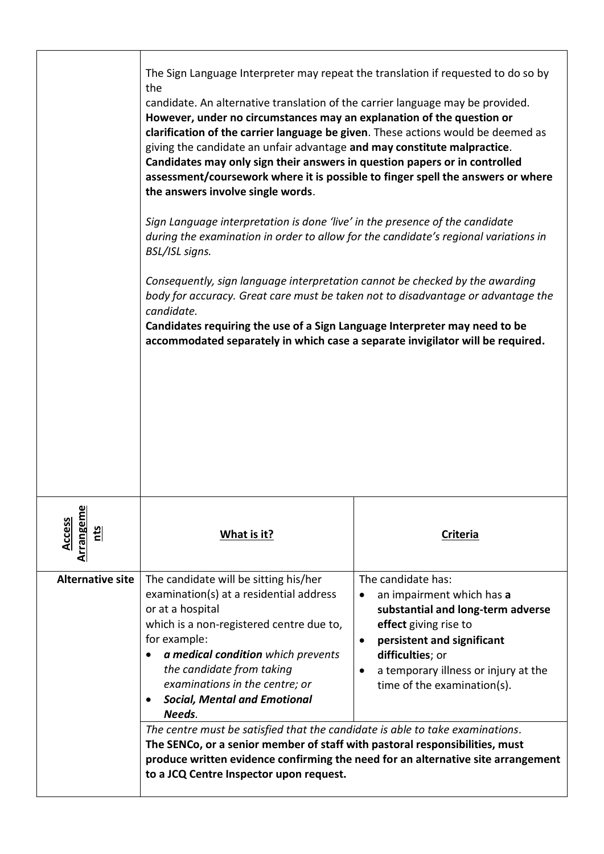|                                             | The Sign Language Interpreter may repeat the translation if requested to do so by<br>the<br>candidate. An alternative translation of the carrier language may be provided.<br>However, under no circumstances may an explanation of the question or<br>clarification of the carrier language be given. These actions would be deemed as<br>giving the candidate an unfair advantage and may constitute malpractice.<br>Candidates may only sign their answers in question papers or in controlled<br>assessment/coursework where it is possible to finger spell the answers or where<br>the answers involve single words.<br>Sign Language interpretation is done 'live' in the presence of the candidate<br>during the examination in order to allow for the candidate's regional variations in<br>BSL/ISL signs.<br>Consequently, sign language interpretation cannot be checked by the awarding<br>body for accuracy. Great care must be taken not to disadvantage or advantage the<br>candidate.<br>Candidates requiring the use of a Sign Language Interpreter may need to be<br>accommodated separately in which case a separate invigilator will be required. |                                                                                                                                                                                                                                                                                                                                                      |
|---------------------------------------------|----------------------------------------------------------------------------------------------------------------------------------------------------------------------------------------------------------------------------------------------------------------------------------------------------------------------------------------------------------------------------------------------------------------------------------------------------------------------------------------------------------------------------------------------------------------------------------------------------------------------------------------------------------------------------------------------------------------------------------------------------------------------------------------------------------------------------------------------------------------------------------------------------------------------------------------------------------------------------------------------------------------------------------------------------------------------------------------------------------------------------------------------------------------------|------------------------------------------------------------------------------------------------------------------------------------------------------------------------------------------------------------------------------------------------------------------------------------------------------------------------------------------------------|
| <b>Arrangeme</b><br>Access<br>$\frac{1}{2}$ | What is it?                                                                                                                                                                                                                                                                                                                                                                                                                                                                                                                                                                                                                                                                                                                                                                                                                                                                                                                                                                                                                                                                                                                                                          | <b>Criteria</b>                                                                                                                                                                                                                                                                                                                                      |
| <b>Alternative site</b>                     | The candidate will be sitting his/her<br>examination(s) at a residential address<br>or at a hospital<br>which is a non-registered centre due to,<br>for example:<br>a medical condition which prevents<br>the candidate from taking<br>examinations in the centre; or<br><b>Social, Mental and Emotional</b><br>Needs.<br>The centre must be satisfied that the candidate is able to take examinations.<br>The SENCo, or a senior member of staff with pastoral responsibilities, must<br>to a JCQ Centre Inspector upon request.                                                                                                                                                                                                                                                                                                                                                                                                                                                                                                                                                                                                                                    | The candidate has:<br>an impairment which has a<br>substantial and long-term adverse<br>effect giving rise to<br>persistent and significant<br>$\bullet$<br>difficulties; or<br>a temporary illness or injury at the<br>$\bullet$<br>time of the examination(s).<br>produce written evidence confirming the need for an alternative site arrangement |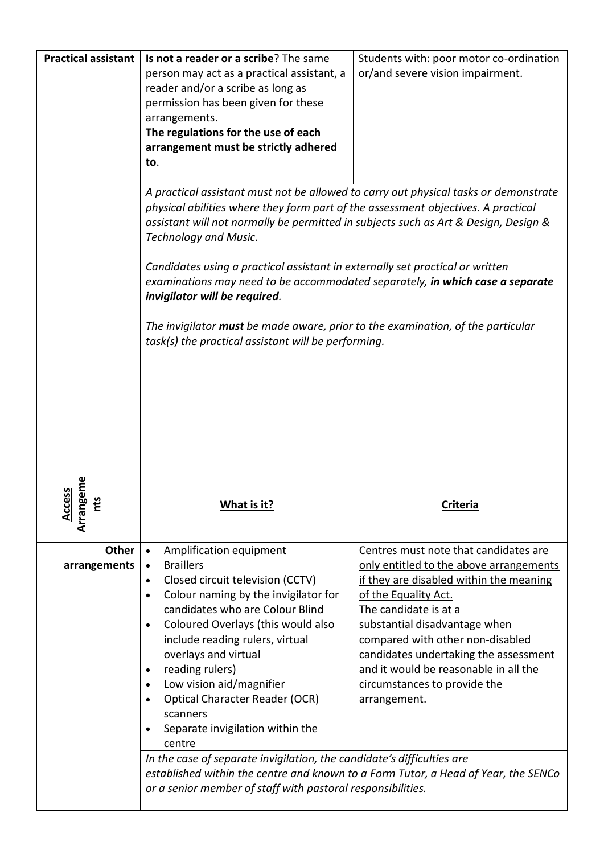| <b>Practical assistant</b>                     | Is not a reader or a scribe? The same<br>person may act as a practical assistant, a<br>reader and/or a scribe as long as<br>permission has been given for these<br>arrangements.<br>The regulations for the use of each<br>arrangement must be strictly adhered<br>to.<br>A practical assistant must not be allowed to carry out physical tasks or demonstrate<br>physical abilities where they form part of the assessment objectives. A practical<br>assistant will not normally be permitted in subjects such as Art & Design, Design &<br><b>Technology and Music.</b><br>Candidates using a practical assistant in externally set practical or written<br>examinations may need to be accommodated separately, in which case a separate<br>invigilator will be required.<br>The invigilator must be made aware, prior to the examination, of the particular<br>task(s) the practical assistant will be performing. | Students with: poor motor co-ordination<br>or/and severe vision impairment.                                                 |
|------------------------------------------------|-------------------------------------------------------------------------------------------------------------------------------------------------------------------------------------------------------------------------------------------------------------------------------------------------------------------------------------------------------------------------------------------------------------------------------------------------------------------------------------------------------------------------------------------------------------------------------------------------------------------------------------------------------------------------------------------------------------------------------------------------------------------------------------------------------------------------------------------------------------------------------------------------------------------------|-----------------------------------------------------------------------------------------------------------------------------|
| geme<br>ess<br>5<br>$rac{C}{A}$<br>ΞI<br>Arran | What is it?                                                                                                                                                                                                                                                                                                                                                                                                                                                                                                                                                                                                                                                                                                                                                                                                                                                                                                             | <b>Criteria</b>                                                                                                             |
| <b>Other</b><br>arrangements                   | Amplification equipment<br>$\bullet$<br><b>Braillers</b><br>$\bullet$<br>Closed circuit television (CCTV)<br>$\bullet$                                                                                                                                                                                                                                                                                                                                                                                                                                                                                                                                                                                                                                                                                                                                                                                                  | Centres must note that candidates are<br>only entitled to the above arrangements<br>if they are disabled within the meaning |
|                                                | Colour naming by the invigilator for<br>$\bullet$<br>candidates who are Colour Blind                                                                                                                                                                                                                                                                                                                                                                                                                                                                                                                                                                                                                                                                                                                                                                                                                                    | of the Equality Act.<br>The candidate is at a                                                                               |
|                                                | Coloured Overlays (this would also<br>$\bullet$                                                                                                                                                                                                                                                                                                                                                                                                                                                                                                                                                                                                                                                                                                                                                                                                                                                                         | substantial disadvantage when                                                                                               |
|                                                | include reading rulers, virtual<br>overlays and virtual                                                                                                                                                                                                                                                                                                                                                                                                                                                                                                                                                                                                                                                                                                                                                                                                                                                                 | compared with other non-disabled<br>candidates undertaking the assessment                                                   |
|                                                | reading rulers)<br>$\bullet$                                                                                                                                                                                                                                                                                                                                                                                                                                                                                                                                                                                                                                                                                                                                                                                                                                                                                            | and it would be reasonable in all the                                                                                       |
|                                                | Low vision aid/magnifier<br>$\bullet$<br><b>Optical Character Reader (OCR)</b><br>$\bullet$                                                                                                                                                                                                                                                                                                                                                                                                                                                                                                                                                                                                                                                                                                                                                                                                                             | circumstances to provide the<br>arrangement.                                                                                |
|                                                | scanners                                                                                                                                                                                                                                                                                                                                                                                                                                                                                                                                                                                                                                                                                                                                                                                                                                                                                                                |                                                                                                                             |
|                                                | Separate invigilation within the<br>$\bullet$<br>centre                                                                                                                                                                                                                                                                                                                                                                                                                                                                                                                                                                                                                                                                                                                                                                                                                                                                 |                                                                                                                             |
|                                                | In the case of separate invigilation, the candidate's difficulties are                                                                                                                                                                                                                                                                                                                                                                                                                                                                                                                                                                                                                                                                                                                                                                                                                                                  | established within the centre and known to a Form Tutor, a Head of Year, the SENCo                                          |
|                                                | or a senior member of staff with pastoral responsibilities.                                                                                                                                                                                                                                                                                                                                                                                                                                                                                                                                                                                                                                                                                                                                                                                                                                                             |                                                                                                                             |
|                                                |                                                                                                                                                                                                                                                                                                                                                                                                                                                                                                                                                                                                                                                                                                                                                                                                                                                                                                                         |                                                                                                                             |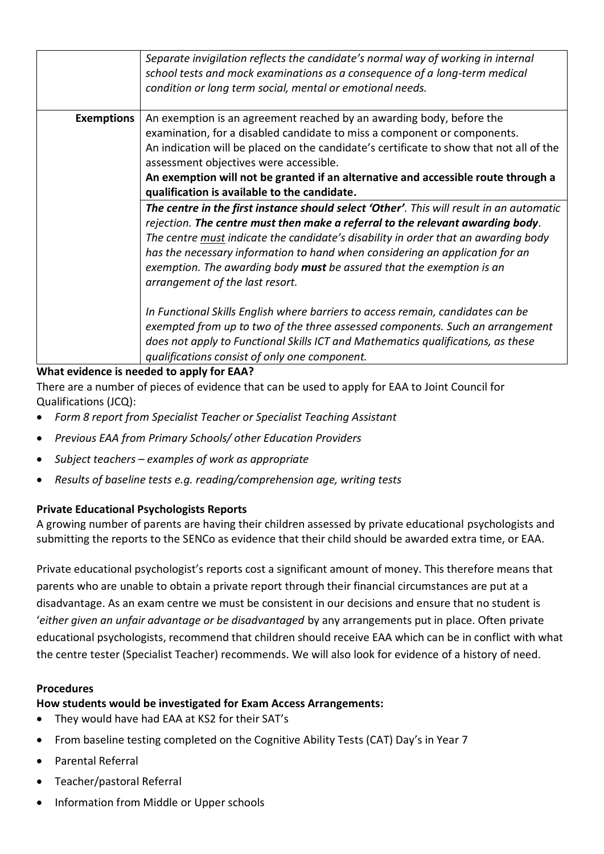|                   | Separate invigilation reflects the candidate's normal way of working in internal<br>school tests and mock examinations as a consequence of a long-term medical<br>condition or long term social, mental or emotional needs.                                                                                                                                                                                                                                                                                                                                                                                                                                                                                                                                                                                                                                                                |
|-------------------|--------------------------------------------------------------------------------------------------------------------------------------------------------------------------------------------------------------------------------------------------------------------------------------------------------------------------------------------------------------------------------------------------------------------------------------------------------------------------------------------------------------------------------------------------------------------------------------------------------------------------------------------------------------------------------------------------------------------------------------------------------------------------------------------------------------------------------------------------------------------------------------------|
| <b>Exemptions</b> | An exemption is an agreement reached by an awarding body, before the<br>examination, for a disabled candidate to miss a component or components.<br>An indication will be placed on the candidate's certificate to show that not all of the<br>assessment objectives were accessible.<br>An exemption will not be granted if an alternative and accessible route through a<br>qualification is available to the candidate.<br>The centre in the first instance should select 'Other'. This will result in an automatic<br>rejection. The centre must then make a referral to the relevant awarding body.<br>The centre must indicate the candidate's disability in order that an awarding body<br>has the necessary information to hand when considering an application for an<br>exemption. The awarding body must be assured that the exemption is an<br>arrangement of the last resort. |
|                   | In Functional Skills English where barriers to access remain, candidates can be<br>exempted from up to two of the three assessed components. Such an arrangement<br>does not apply to Functional Skills ICT and Mathematics qualifications, as these<br>qualifications consist of only one component.                                                                                                                                                                                                                                                                                                                                                                                                                                                                                                                                                                                      |

#### **What evidence is needed to apply for EAA?**

There are a number of pieces of evidence that can be used to apply for EAA to Joint Council for Qualifications (JCQ):

- *Form 8 report from Specialist Teacher or Specialist Teaching Assistant*
- *Previous EAA from Primary Schools/ other Education Providers*
- *Subject teachers – examples of work as appropriate*
- *Results of baseline tests e.g. reading/comprehension age, writing tests*

#### **Private Educational Psychologists Reports**

A growing number of parents are having their children assessed by private educational psychologists and submitting the reports to the SENCo as evidence that their child should be awarded extra time, or EAA.

Private educational psychologist's reports cost a significant amount of money. This therefore means that parents who are unable to obtain a private report through their financial circumstances are put at a disadvantage. As an exam centre we must be consistent in our decisions and ensure that no student is '*either given an unfair advantage or be disadvantaged* by any arrangements put in place. Often private educational psychologists, recommend that children should receive EAA which can be in conflict with what the centre tester (Specialist Teacher) recommends. We will also look for evidence of a history of need.

#### **Procedures**

#### **How students would be investigated for Exam Access Arrangements:**

- They would have had EAA at KS2 for their SAT's
- From baseline testing completed on the Cognitive Ability Tests (CAT) Day's in Year 7
- Parental Referral
- Teacher/pastoral Referral
- Information from Middle or Upper schools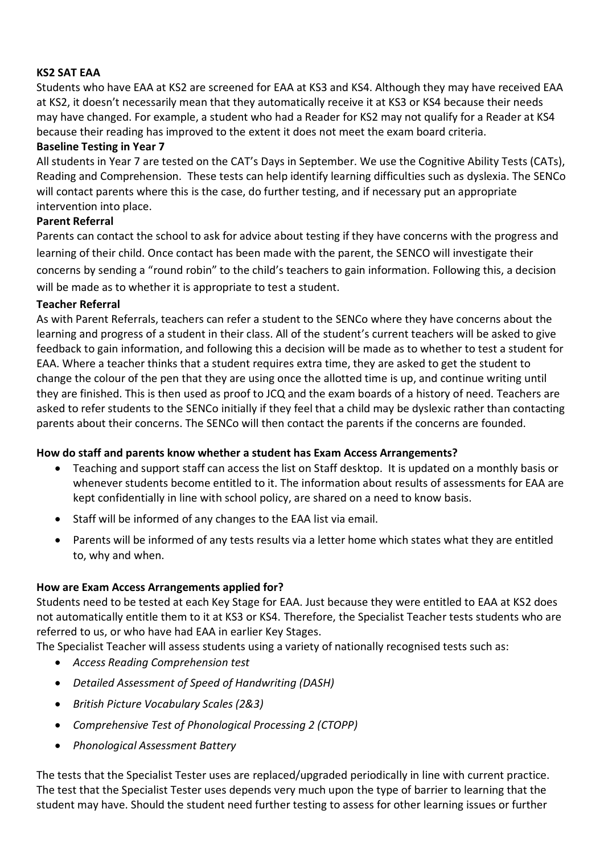## **KS2 SAT EAA**

Students who have EAA at KS2 are screened for EAA at KS3 and KS4. Although they may have received EAA at KS2, it doesn't necessarily mean that they automatically receive it at KS3 or KS4 because their needs may have changed. For example, a student who had a Reader for KS2 may not qualify for a Reader at KS4 because their reading has improved to the extent it does not meet the exam board criteria.

#### **Baseline Testing in Year 7**

All students in Year 7 are tested on the CAT's Days in September. We use the Cognitive Ability Tests (CATs), Reading and Comprehension. These tests can help identify learning difficulties such as dyslexia. The SENCo will contact parents where this is the case, do further testing, and if necessary put an appropriate intervention into place.

#### **Parent Referral**

Parents can contact the school to ask for advice about testing if they have concerns with the progress and learning of their child. Once contact has been made with the parent, the SENCO will investigate their concerns by sending a "round robin" to the child's teachers to gain information. Following this, a decision will be made as to whether it is appropriate to test a student.

#### **Teacher Referral**

As with Parent Referrals, teachers can refer a student to the SENCo where they have concerns about the learning and progress of a student in their class. All of the student's current teachers will be asked to give feedback to gain information, and following this a decision will be made as to whether to test a student for EAA. Where a teacher thinks that a student requires extra time, they are asked to get the student to change the colour of the pen that they are using once the allotted time is up, and continue writing until they are finished. This is then used as proof to JCQ and the exam boards of a history of need. Teachers are asked to refer students to the SENCo initially if they feel that a child may be dyslexic rather than contacting parents about their concerns. The SENCo will then contact the parents if the concerns are founded.

#### **How do staff and parents know whether a student has Exam Access Arrangements?**

- Teaching and support staff can access the list on Staff desktop. It is updated on a monthly basis or whenever students become entitled to it. The information about results of assessments for EAA are kept confidentially in line with school policy, are shared on a need to know basis.
- Staff will be informed of any changes to the EAA list via email.
- Parents will be informed of any tests results via a letter home which states what they are entitled to, why and when.

#### **How are Exam Access Arrangements applied for?**

Students need to be tested at each Key Stage for EAA. Just because they were entitled to EAA at KS2 does not automatically entitle them to it at KS3 or KS4. Therefore, the Specialist Teacher tests students who are referred to us, or who have had EAA in earlier Key Stages.

The Specialist Teacher will assess students using a variety of nationally recognised tests such as:

- *Access Reading Comprehension test*
- *Detailed Assessment of Speed of Handwriting (DASH)*
- *British Picture Vocabulary Scales (2&3)*
- *Comprehensive Test of Phonological Processing 2 (CTOPP)*
- *Phonological Assessment Battery*

The tests that the Specialist Tester uses are replaced/upgraded periodically in line with current practice. The test that the Specialist Tester uses depends very much upon the type of barrier to learning that the student may have. Should the student need further testing to assess for other learning issues or further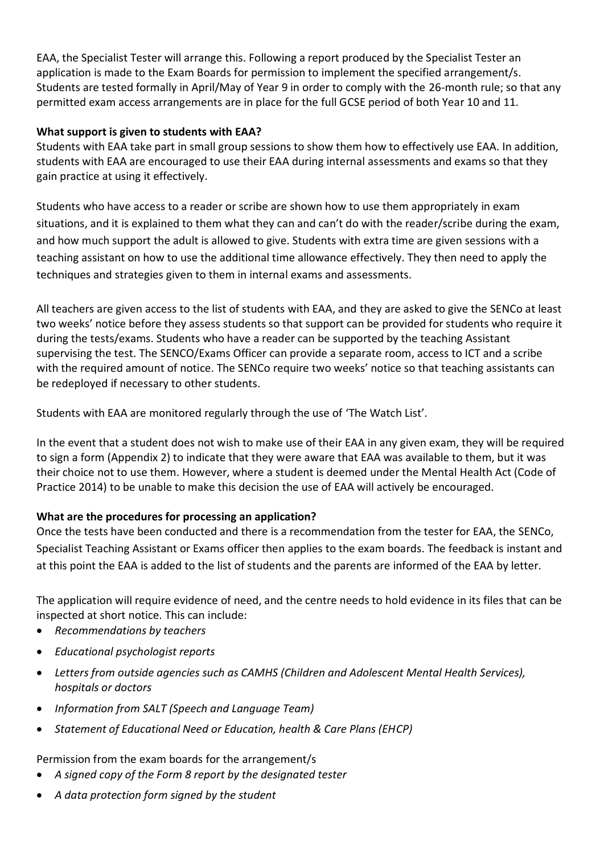EAA, the Specialist Tester will arrange this. Following a report produced by the Specialist Tester an application is made to the Exam Boards for permission to implement the specified arrangement/s. Students are tested formally in April/May of Year 9 in order to comply with the 26-month rule; so that any permitted exam access arrangements are in place for the full GCSE period of both Year 10 and 11.

## **What support is given to students with EAA?**

Students with EAA take part in small group sessions to show them how to effectively use EAA. In addition, students with EAA are encouraged to use their EAA during internal assessments and exams so that they gain practice at using it effectively.

Students who have access to a reader or scribe are shown how to use them appropriately in exam situations, and it is explained to them what they can and can't do with the reader/scribe during the exam, and how much support the adult is allowed to give. Students with extra time are given sessions with a teaching assistant on how to use the additional time allowance effectively. They then need to apply the techniques and strategies given to them in internal exams and assessments.

All teachers are given access to the list of students with EAA, and they are asked to give the SENCo at least two weeks' notice before they assess students so that support can be provided for students who require it during the tests/exams. Students who have a reader can be supported by the teaching Assistant supervising the test. The SENCO/Exams Officer can provide a separate room, access to ICT and a scribe with the required amount of notice. The SENCo require two weeks' notice so that teaching assistants can be redeployed if necessary to other students.

Students with EAA are monitored regularly through the use of 'The Watch List'.

In the event that a student does not wish to make use of their EAA in any given exam, they will be required to sign a form (Appendix 2) to indicate that they were aware that EAA was available to them, but it was their choice not to use them. However, where a student is deemed under the Mental Health Act (Code of Practice 2014) to be unable to make this decision the use of EAA will actively be encouraged.

## **What are the procedures for processing an application?**

Once the tests have been conducted and there is a recommendation from the tester for EAA, the SENCo, Specialist Teaching Assistant or Exams officer then applies to the exam boards. The feedback is instant and at this point the EAA is added to the list of students and the parents are informed of the EAA by letter.

The application will require evidence of need, and the centre needs to hold evidence in its files that can be inspected at short notice. This can include:

- *Recommendations by teachers*
- *Educational psychologist reports*
- *Letters from outside agencies such as CAMHS (Children and Adolescent Mental Health Services), hospitals or doctors*
- *Information from SALT (Speech and Language Team)*
- *Statement of Educational Need or Education, health & Care Plans (EHCP)*

## Permission from the exam boards for the arrangement/s

- *A signed copy of the Form 8 report by the designated tester*
- *A data protection form signed by the student*